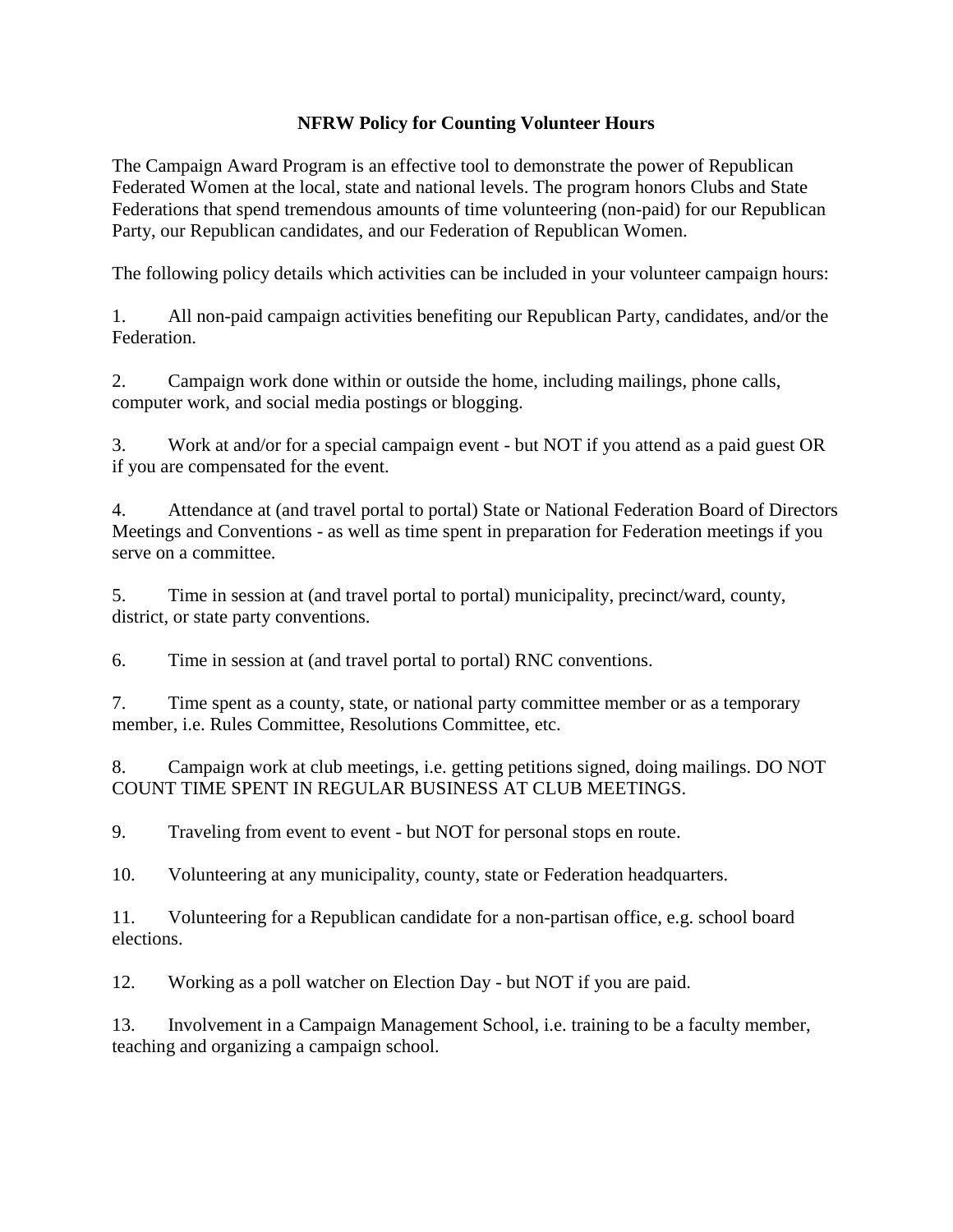## **NFRW Policy for Counting Volunteer Hours**

The Campaign Award Program is an effective tool to demonstrate the power of Republican Federated Women at the local, state and national levels. The program honors Clubs and State Federations that spend tremendous amounts of time volunteering (non-paid) for our Republican Party, our Republican candidates, and our Federation of Republican Women.

The following policy details which activities can be included in your volunteer campaign hours:

1. All non-paid campaign activities benefiting our Republican Party, candidates, and/or the **Federation** 

2. Campaign work done within or outside the home, including mailings, phone calls, computer work, and social media postings or blogging.

3. Work at and/or for a special campaign event - but NOT if you attend as a paid guest OR if you are compensated for the event.

4. Attendance at (and travel portal to portal) State or National Federation Board of Directors Meetings and Conventions - as well as time spent in preparation for Federation meetings if you serve on a committee.

5. Time in session at (and travel portal to portal) municipality, precinct/ward, county, district, or state party conventions.

6. Time in session at (and travel portal to portal) RNC conventions.

7. Time spent as a county, state, or national party committee member or as a temporary member, i.e. Rules Committee, Resolutions Committee, etc.

8. Campaign work at club meetings, i.e. getting petitions signed, doing mailings. DO NOT COUNT TIME SPENT IN REGULAR BUSINESS AT CLUB MEETINGS.

9. Traveling from event to event - but NOT for personal stops en route.

10. Volunteering at any municipality, county, state or Federation headquarters.

11. Volunteering for a Republican candidate for a non-partisan office, e.g. school board elections.

12. Working as a poll watcher on Election Day - but NOT if you are paid.

13. Involvement in a Campaign Management School, i.e. training to be a faculty member, teaching and organizing a campaign school.